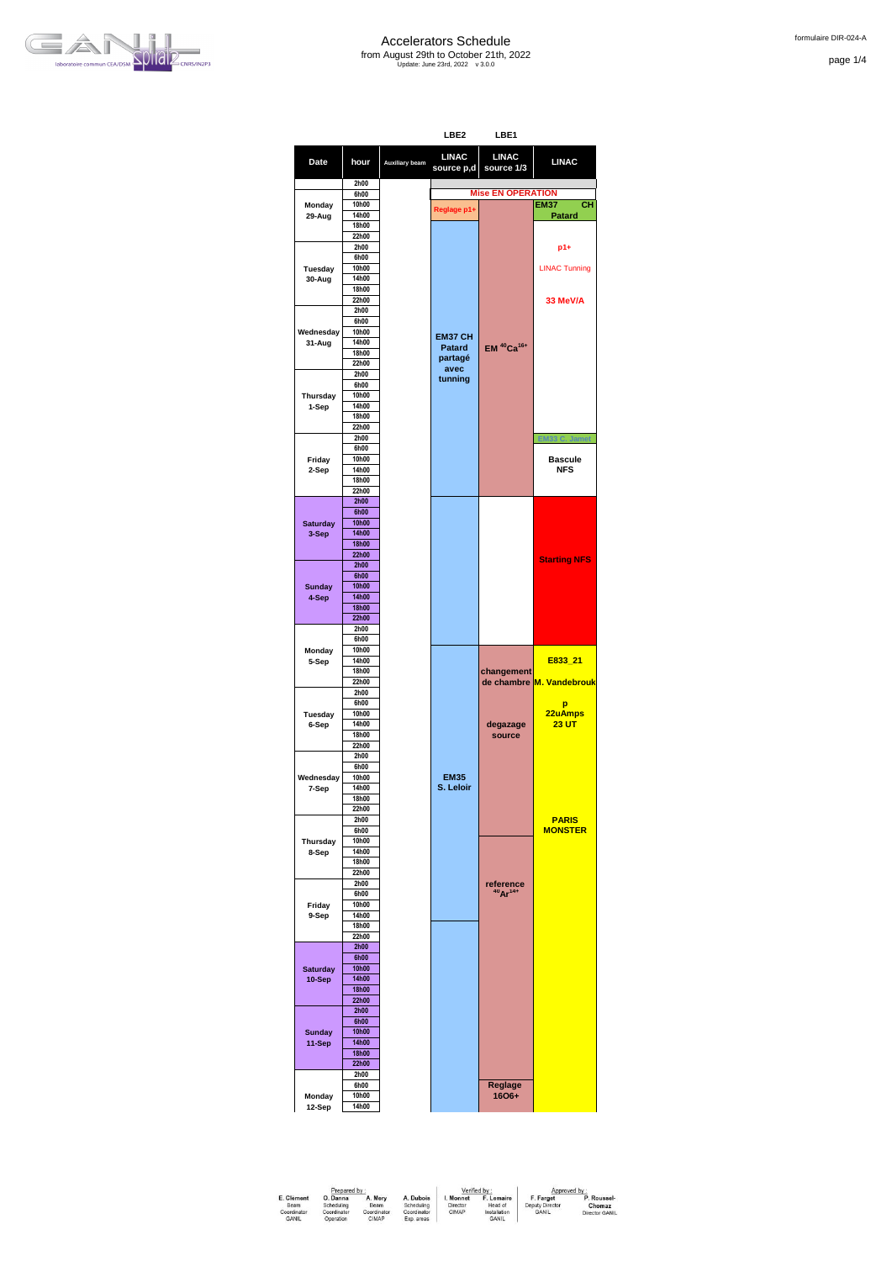

page 1/4

|                           |                |                | LBE2                       | LBE1                               |                             |
|---------------------------|----------------|----------------|----------------------------|------------------------------------|-----------------------------|
| Date                      | hour           | Auxiliary beam | <b>LINAC</b><br>source p,d | <b>LINAC</b><br>source 1/3         | <b>LINAC</b>                |
|                           | 2h00           |                |                            |                                    |                             |
|                           | 6h00           |                |                            | <b>Mise EN OPERATION</b>           |                             |
| Monday<br>29-Aug          | 10h00<br>14h00 |                | Reglage p1+                |                                    | CН<br><b>EM37</b><br>Patard |
|                           | 18h00          |                |                            |                                    |                             |
|                           | 22h00          |                |                            |                                    |                             |
|                           | 2h00           |                |                            |                                    | p1+                         |
|                           | 6h00           |                |                            |                                    |                             |
| Tuesday                   | 10h00<br>14h00 |                |                            |                                    | <b>LINAC Tunning</b>        |
| 30-Aug                    | 18h00          |                |                            |                                    |                             |
|                           | 22h00          |                |                            |                                    | 33 MeV/A                    |
|                           | 2h00           |                |                            |                                    |                             |
|                           | 6h00           |                |                            |                                    |                             |
| Wednesday                 | 10h00          |                | EM37 CH                    |                                    |                             |
| 31-Aug                    | 14h00<br>18h00 |                | Patard                     | EM <sup>40</sup> Ca <sup>16+</sup> |                             |
|                           | 22h00          |                | partagé                    |                                    |                             |
|                           | 2h00           |                | avec                       |                                    |                             |
|                           | 6h00           |                | tunning                    |                                    |                             |
| Thursday                  | 10h00          |                |                            |                                    |                             |
| 1-Sep                     | 14h00          |                |                            |                                    |                             |
|                           | 18h00<br>22h00 |                |                            |                                    |                             |
|                           | 2h00           |                |                            |                                    |                             |
|                           | 6h00           |                |                            |                                    |                             |
| Friday                    | 10h00          |                |                            |                                    | <b>Bascule</b>              |
| 2-Sep                     | 14h00          |                |                            |                                    | <b>NFS</b>                  |
|                           | 18h00          |                |                            |                                    |                             |
|                           | 22h00<br>2h00  |                |                            |                                    |                             |
|                           | 6h00           |                |                            |                                    |                             |
| <b>Saturday</b>           | 10h00          |                |                            |                                    |                             |
| 3-Sep                     | 14h00          |                |                            |                                    |                             |
|                           | <b>18h00</b>   |                |                            |                                    |                             |
|                           | 22h00          |                |                            |                                    | <b>Starting NFS</b>         |
|                           | 2h00<br>6h00   |                |                            |                                    |                             |
| <b>Sunday</b>             | 10h00          |                |                            |                                    |                             |
| 4-Sep                     | 14h00          |                |                            |                                    |                             |
|                           | 18h00          |                |                            |                                    |                             |
|                           | 22h00          |                |                            |                                    |                             |
|                           | 2h00<br>6h00   |                |                            |                                    |                             |
| Monday                    | 10h00          |                |                            |                                    |                             |
| 5-Sep                     | 14h00          |                |                            |                                    | E833_21                     |
|                           | 18h00          |                |                            | changement                         |                             |
|                           | 22h00          |                |                            |                                    | de chambre M. Vandebrouk    |
|                           | 2h00           |                |                            |                                    |                             |
| Tuesday                   | 6h00<br>10h00  |                |                            |                                    | p<br>22uAmps                |
| 6-Sep                     | 14h00          |                |                            | degazage                           | <b>23 UT</b>                |
|                           | 18h00          |                |                            | source                             |                             |
|                           | 22h00          |                |                            |                                    |                             |
|                           | 2h00           |                |                            |                                    |                             |
| Wednesday                 | 6h00<br>10h00  |                | <b>EM35</b>                |                                    |                             |
| 7-Sep                     | 14h00          |                | S. Leloir                  |                                    |                             |
|                           | 18h00          |                |                            |                                    |                             |
|                           | 22h00          |                |                            |                                    |                             |
|                           | 2h00           |                |                            |                                    | <b>PARIS</b>                |
| Thursday                  | 6h00<br>10h00  |                |                            |                                    | <b>MONSTER</b>              |
| 8-Sep                     | 14h00          |                |                            |                                    |                             |
|                           | 18h00          |                |                            |                                    |                             |
|                           | 22h00          |                |                            |                                    |                             |
|                           | 2h00           |                |                            | reference<br>$40Ar^{14+}$          |                             |
| Friday                    | 6h00<br>10h00  |                |                            |                                    |                             |
| 9-Sep                     | 14h00          |                |                            |                                    |                             |
|                           | 18h00          |                |                            |                                    |                             |
|                           | 22h00          |                |                            |                                    |                             |
|                           | 2h00           |                |                            |                                    |                             |
|                           | 6h00<br>10h00  |                |                            |                                    |                             |
| <b>Saturday</b><br>10-Sep | 14h00          |                |                            |                                    |                             |
|                           | 18h00          |                |                            |                                    |                             |
|                           | 22h00          |                |                            |                                    |                             |
|                           | 2h00           |                |                            |                                    |                             |
|                           | 6h00           |                |                            |                                    |                             |
| <b>Sunday</b>             | 10h00<br>14h00 |                |                            |                                    |                             |
| 11-Sep                    | 18h00          |                |                            |                                    |                             |
|                           | 22h00          |                |                            |                                    |                             |
|                           | 2h00           |                |                            |                                    |                             |
|                           | 6h00           |                |                            | <b>Reglage</b>                     |                             |
| Monday                    | 10h00          |                |                            | 1606+                              |                             |
| 12-Sep                    | 14h00          |                |                            |                                    |                             |
|                           |                |                |                            |                                    |                             |

| Prepared by                                       |                                                    |                                         |                                                      | Verified by                    |                                                       | Approved by                                  |                                         |
|---------------------------------------------------|----------------------------------------------------|-----------------------------------------|------------------------------------------------------|--------------------------------|-------------------------------------------------------|----------------------------------------------|-----------------------------------------|
| E. Clément<br>Beam<br>Coordinator<br><b>GANIL</b> | O. Danna<br>Scheduling<br>Coordinator<br>Operation | A. Mery<br>Beam<br>Coordinator<br>CIMAP | A. Dubois<br>Scheduling<br>Coordinator<br>Exp. areas | I. Monnet<br>Director<br>CIMAP | F. Lemaire<br>Head of<br>Installation<br><b>GANIL</b> | F. Farget<br>Deputy Director<br><b>GANIL</b> | P. Roussel-<br>Chomaz<br>Director GANIL |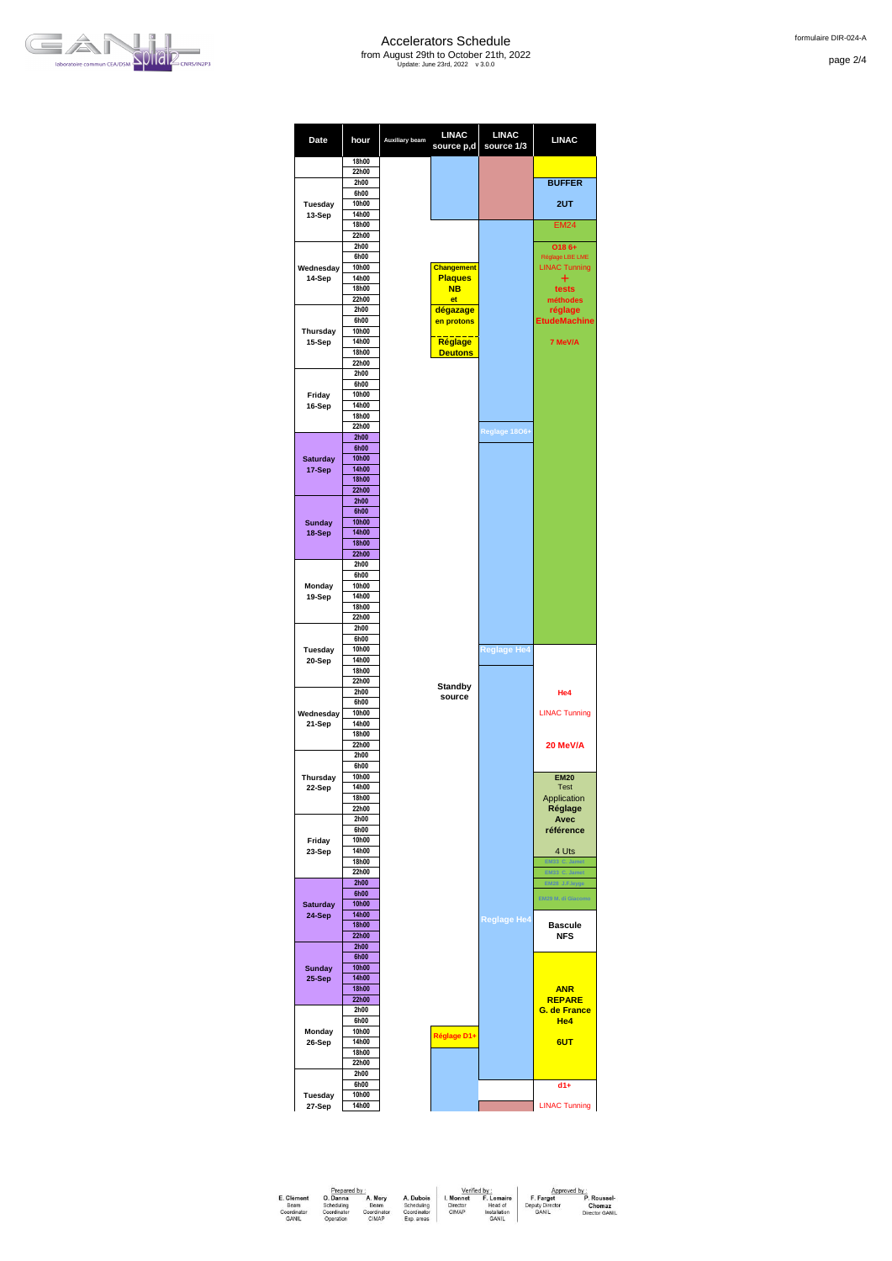

page 2/4



| Date                    | hour                  | Auxiliary beam | <b>LINAC</b><br>source p,d          | <b>LINAC</b><br>source 1/3 | <b>LINAC</b>                         |
|-------------------------|-----------------------|----------------|-------------------------------------|----------------------------|--------------------------------------|
|                         | 18h00<br>22h00        |                |                                     |                            |                                      |
|                         | 2h00                  |                |                                     |                            | <b>BUFFER</b>                        |
|                         | 6h00                  |                |                                     |                            |                                      |
| Tuesday                 | 10h00                 |                |                                     |                            | 2UT                                  |
| 13-Sep                  | 14h00<br>18h00        |                |                                     |                            | <b>EM24</b>                          |
|                         | 22h00                 |                |                                     |                            |                                      |
|                         | 2h00                  |                |                                     |                            | O186+                                |
|                         | 6h00                  |                |                                     |                            | Réglage LBE LME                      |
| Wednesday<br>14-Sep     | 10h00<br>14h00        |                | <b>Changement</b><br><b>Plaques</b> |                            | <b>LINAC Tunning</b><br>+            |
|                         | 18h00                 |                | <b>NB</b>                           |                            | tests                                |
|                         | 22h00                 |                | et                                  |                            | méthodes                             |
|                         | 2h00<br>6h00          |                | dégazage<br>en protons              |                            | réglage                              |
| <b>Thursday</b>         | 10h00                 |                |                                     |                            | <b>EtudeMachine</b>                  |
| 15-Sep                  | 14h00                 |                | <b>Réglage</b>                      |                            | 7 MeV/A                              |
|                         | 18h00                 |                | <b>Deutons</b>                      |                            |                                      |
|                         | 22h00<br>2h00         |                |                                     |                            |                                      |
|                         | 6h00                  |                |                                     |                            |                                      |
| Friday                  | 10h00                 |                |                                     |                            |                                      |
| 16-Sep                  | 14h00                 |                |                                     |                            |                                      |
|                         | 18h00<br>22h00        |                |                                     |                            |                                      |
|                         | 2h00                  |                |                                     | Reglage 1806+              |                                      |
|                         | 6h00                  |                |                                     |                            |                                      |
| <b>Saturday</b>         | 10h00                 |                |                                     |                            |                                      |
| 17-Sep                  | 14h00<br><b>18h00</b> |                |                                     |                            |                                      |
|                         | 22h00                 |                |                                     |                            |                                      |
|                         | 2h00                  |                |                                     |                            |                                      |
|                         | 6h00                  |                |                                     |                            |                                      |
| <b>Sunday</b><br>18-Sep | <b>10h00</b><br>14h00 |                |                                     |                            |                                      |
|                         | <b>18h00</b>          |                |                                     |                            |                                      |
|                         | 22h00                 |                |                                     |                            |                                      |
|                         | 2h00                  |                |                                     |                            |                                      |
| Monday                  | 6h00<br>10h00         |                |                                     |                            |                                      |
| 19-Sep                  | 14h00                 |                |                                     |                            |                                      |
|                         | 18h00                 |                |                                     |                            |                                      |
|                         | 22h00<br>2h00         |                |                                     |                            |                                      |
|                         | 6h00                  |                |                                     |                            |                                      |
| Tuesday                 | 10h00                 |                |                                     | <b>Reglage He4</b>         |                                      |
| 20-Sep                  | 14h00                 |                |                                     |                            |                                      |
|                         | 18h00<br>22h00        |                |                                     |                            |                                      |
|                         | 2h00                  |                | <b>Standby</b><br>source            |                            | He4                                  |
|                         | 6h00                  |                |                                     |                            |                                      |
| Wednesday<br>21-Sep     | 10h00<br>14h00        |                |                                     |                            | <b>LINAC Tunning</b>                 |
|                         | 18h00                 |                |                                     |                            |                                      |
|                         | 22h00                 |                |                                     |                            | 20 MeV/A                             |
|                         | 2h00<br>6h00          |                |                                     |                            |                                      |
| Thursday                | 10h00                 |                |                                     |                            | <b>EM20</b>                          |
| 22-Sep                  | 14h00                 |                |                                     |                            | <b>Test</b>                          |
|                         | 18h00                 |                |                                     |                            | Application                          |
|                         | 22h00<br>2h00         |                |                                     |                            | Réglage<br>Avec                      |
|                         | 6h00                  |                |                                     |                            | référence                            |
| Friday                  | 10h00                 |                |                                     |                            |                                      |
| 23-Sep                  | 14h00                 |                |                                     |                            | 4 Uts                                |
|                         | 18h00<br>22h00        |                |                                     |                            | EM33 C. Jamet<br>EM33 C. Jamet       |
|                         | 2h00                  |                |                                     |                            | EM28 J.F.leyge                       |
|                         | 6h00                  |                |                                     |                            | EM29 M. di Giacomo                   |
| <b>Saturday</b>         | 10h00<br>14h00        |                |                                     |                            |                                      |
| 24-Sep                  | <b>18h00</b>          |                |                                     | <b>Reglage He4</b>         | <b>Bascule</b>                       |
|                         | 22h00                 |                |                                     |                            | NFS                                  |
|                         | 2h00                  |                |                                     |                            |                                      |
| <b>Sunday</b>           | 6h00<br>10h00         |                |                                     |                            |                                      |
| 25-Sep                  | 14h00                 |                |                                     |                            |                                      |
|                         | 18h00                 |                |                                     |                            | <b>ANR</b>                           |
|                         | 22h00<br>2h00         |                |                                     |                            | <b>REPARE</b><br><b>G. de France</b> |
|                         | 6h00                  |                |                                     |                            | He <sub>4</sub>                      |
| Monday                  | 10h00                 |                | Réglage D1+                         |                            |                                      |
| 26-Sep                  | 14h00                 |                |                                     |                            | 6UT                                  |
|                         | 18h00<br>22h00        |                |                                     |                            |                                      |
|                         | 2h00                  |                |                                     |                            |                                      |
|                         | 6h00                  |                |                                     |                            | $d1+$                                |
| Tuesday                 | 10h00<br>14h00        |                |                                     |                            | <b>LINAC Tunning</b>                 |
| 27-Sep                  |                       |                |                                     |                            |                                      |

|                             | Prepared by              |                      |                           |                                   | Verified by                  | Approved by                  |                       |
|-----------------------------|--------------------------|----------------------|---------------------------|-----------------------------------|------------------------------|------------------------------|-----------------------|
| E. Clement<br>Beam          | O. Danna<br>Scheduling   | A. Mery<br>Beam      | A. Dubois<br>Scheduling   | <sup>1</sup> . Monnet<br>Director | F. Lemaire<br>Head of        | F. Farget<br>Deputy Director | P. Roussel-<br>Chomaz |
| Coordinator<br><b>GANIL</b> | Coordinator<br>Operation | Coordinator<br>CIMAP | Coordinator<br>Exp. areas | CIMAP                             | Installation<br><b>GANIL</b> | <b>GANIL</b>                 | Director GANIL        |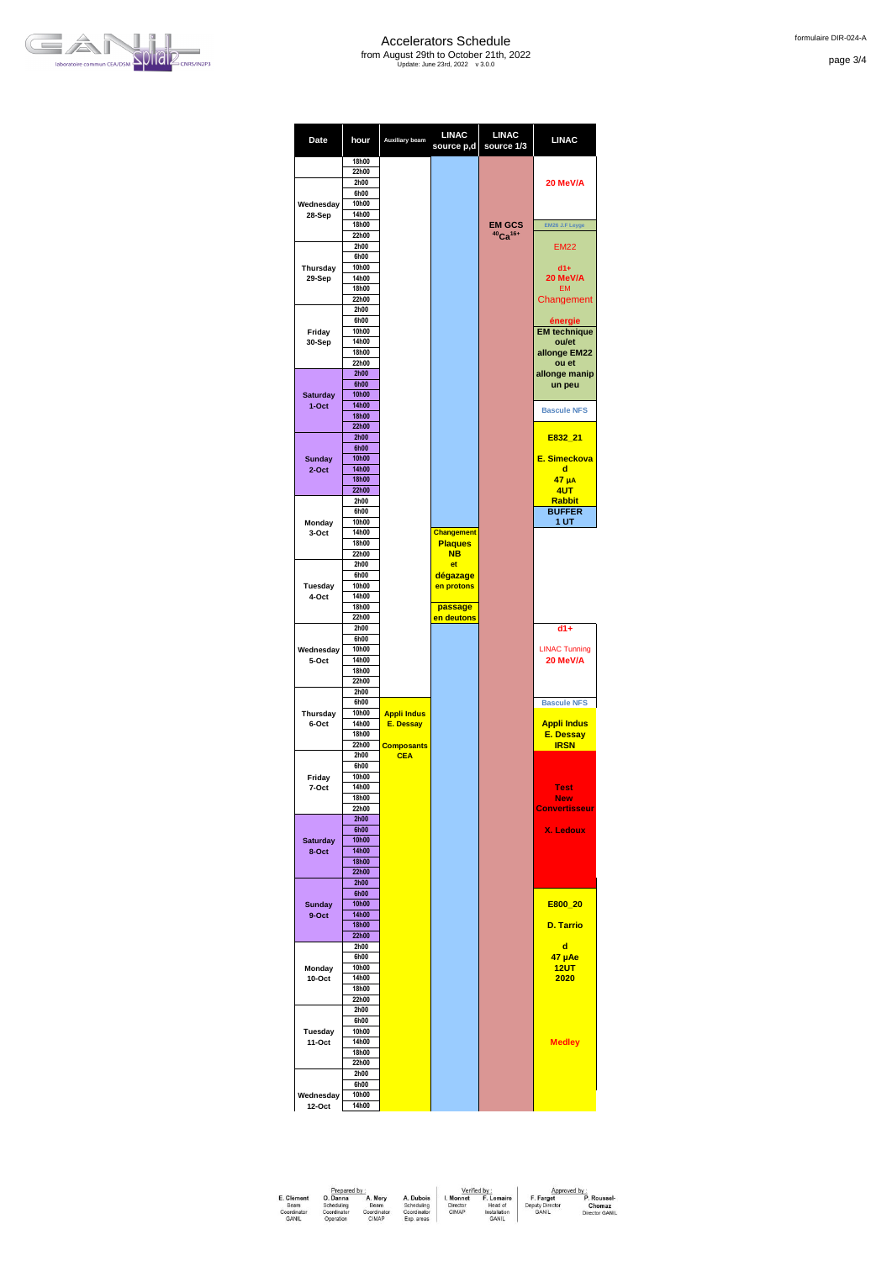

page 3/4



| Date               | hour                  | Auxiliary beam     | <b>LINAC</b><br>source p,d          | <b>LINAC</b><br>source 1/3 | <b>LINAC</b>         |
|--------------------|-----------------------|--------------------|-------------------------------------|----------------------------|----------------------|
|                    | 18h00                 |                    |                                     |                            |                      |
|                    | 22h00                 |                    |                                     |                            |                      |
|                    | 2h00<br>6h00          |                    |                                     |                            | 20 MeV/A             |
| Wednesday          | 10h00                 |                    |                                     |                            |                      |
| 28-Sep             | 14h00                 |                    |                                     |                            |                      |
|                    | 18h00                 |                    |                                     | <b>EM GCS</b>              | EM26 J.F Leyge       |
|                    | 22h00                 |                    |                                     | $40$ Ca <sup>16+</sup>     |                      |
|                    | 2h00                  |                    |                                     |                            | <b>EM22</b>          |
|                    | 6h00                  |                    |                                     |                            |                      |
| Thursday           | 10h00                 |                    |                                     |                            | $d1+$                |
| 29-Sep             | 14h00                 |                    |                                     |                            | 20 MeV/A             |
|                    | 18h00<br>22h00        |                    |                                     |                            | <b>EM</b>            |
|                    | 2h00                  |                    |                                     |                            | Changement           |
|                    | 6h00                  |                    |                                     |                            | énergie              |
| Friday             | 10h00                 |                    |                                     |                            | <b>EM</b> technique  |
| 30-Sep             | 14h00                 |                    |                                     |                            | ou/et                |
|                    | 18h00                 |                    |                                     |                            | allonge EM22         |
|                    | 22h00                 |                    |                                     |                            | ou et                |
|                    | 2h00                  |                    |                                     |                            | allonge manip        |
|                    | 6h00                  |                    |                                     |                            | un peu               |
| <b>Saturday</b>    | <b>10h00</b>          |                    |                                     |                            |                      |
| $1-Oct$            | 14h00<br><b>18h00</b> |                    |                                     |                            | <b>Bascule NFS</b>   |
|                    | 22h00                 |                    |                                     |                            |                      |
|                    | 2h00                  |                    |                                     |                            | E832 21              |
|                    | 6h00                  |                    |                                     |                            |                      |
| <b>Sunday</b>      | <b>10h00</b>          |                    |                                     |                            | E. Simeckova         |
| $2$ -Oct           | 14h00                 |                    |                                     |                            | d                    |
|                    | <b>18h00</b>          |                    |                                     |                            | $47 \mu A$           |
|                    | 22h00                 |                    |                                     |                            | 4UT                  |
|                    | 2h00                  |                    |                                     |                            | <b>Rabbit</b>        |
|                    | 6h00                  |                    |                                     |                            | <b>BUFFER</b>        |
| Monday             | 10h00<br>14h00        |                    |                                     |                            | 1 UT                 |
| 3-Oct              | 18h00                 |                    | <b>Changement</b><br><b>Plaques</b> |                            |                      |
|                    | 22h00                 |                    | <b>NB</b>                           |                            |                      |
|                    | 2h00                  |                    | et                                  |                            |                      |
|                    | 6h00                  |                    | dégazage                            |                            |                      |
| Tuesday            | 10h00                 |                    | en protons                          |                            |                      |
| 4-Oct              | 14h00                 |                    |                                     |                            |                      |
|                    | 18h00                 |                    | passage                             |                            |                      |
|                    | 22h00                 |                    | en deutons                          |                            |                      |
|                    | 2h00                  |                    |                                     |                            | $d1+$                |
|                    | 6h00<br>10h00         |                    |                                     |                            | <b>LINAC Tunning</b> |
| Wednesday<br>5-Oct | 14h00                 |                    |                                     |                            | 20 MeV/A             |
|                    | 18h00                 |                    |                                     |                            |                      |
|                    | 22h00                 |                    |                                     |                            |                      |
|                    | 2h00                  |                    |                                     |                            |                      |
|                    | 6h00                  |                    |                                     |                            | <b>Bascule NFS</b>   |
| Thursday           | 10h00                 | <b>Appli Indus</b> |                                     |                            |                      |
| 6-Oct              | 14h00                 | <b>E. Dessay</b>   |                                     |                            | <b>Appli Indus</b>   |
|                    | 18h00                 |                    |                                     |                            | <b>E. Dessay</b>     |
|                    | 22h00                 | <b>Composants</b>  |                                     |                            | <b>IRSN</b>          |
|                    | 2h00<br>6h00          | <b>CEA</b>         |                                     |                            |                      |
| Friday             | 10h00                 |                    |                                     |                            |                      |
| 7-Oct              | 14h00                 |                    |                                     |                            | <b>Test</b>          |
|                    | 18h00                 |                    |                                     |                            | New                  |
|                    | 22h00                 |                    |                                     |                            | <b>Convertisseur</b> |
|                    | 2h00                  |                    |                                     |                            |                      |
|                    | 6h00                  |                    |                                     |                            | <b>X. Ledoux</b>     |
| <b>Saturday</b>    | 10h00                 |                    |                                     |                            |                      |
| 8-Oct              | 14h00                 |                    |                                     |                            |                      |
|                    | <b>18h00</b>          |                    |                                     |                            |                      |
|                    | 22h00                 |                    |                                     |                            |                      |
|                    | 2h00<br>6h00          |                    |                                     |                            |                      |
| <b>Sunday</b>      | 10h00                 |                    |                                     |                            | E800 20              |
| 9-Oct              | 14h00                 |                    |                                     |                            |                      |
|                    | <b>18h00</b>          |                    |                                     |                            | <b>D. Tarrio</b>     |
|                    | 22h00                 |                    |                                     |                            |                      |
|                    | 2h00                  |                    |                                     |                            | d                    |
|                    | 6h00                  |                    |                                     |                            | 47 µAe               |
| Monday             | 10h00                 |                    |                                     |                            | <b>12UT</b>          |
| 10-Oct             | 14h00                 |                    |                                     |                            | 2020                 |
|                    | 18h00                 |                    |                                     |                            |                      |
|                    | 22h00                 |                    |                                     |                            |                      |
|                    | 2h00                  |                    |                                     |                            |                      |
|                    | 6h00<br>10h00         |                    |                                     |                            |                      |
| Tuesday<br>11-Oct  | 14h00                 |                    |                                     |                            | <b>Medley</b>        |
|                    | 18h00                 |                    |                                     |                            |                      |
|                    | 22h00                 |                    |                                     |                            |                      |
|                    | 2h00                  |                    |                                     |                            |                      |
|                    | 6h00                  |                    |                                     |                            |                      |
| Wednesday          | 10h00                 |                    |                                     |                            |                      |
| 12-Oct             | 14h00                 |                    |                                     |                            |                      |

| Prepared by:                |                          |                      |                           |                      | Verified by:                 | Approved by:                 |                       |
|-----------------------------|--------------------------|----------------------|---------------------------|----------------------|------------------------------|------------------------------|-----------------------|
| E. Clement<br>Beam          | O. Danna<br>Scheduling   | A. Mery<br>Beam      | A. Dubois<br>Scheduling   | . Monnet<br>Director | F. Lemaire<br>Head of        | F. Farget<br>Deputy Director | P. Roussel-<br>Chomaz |
| Coordinator<br><b>GANIL</b> | Coordinator<br>Operation | Coordinator<br>CIMAP | Coordinator<br>Exp. areas | CIMAP                | Installation<br><b>GANIL</b> | GANIL                        | Director GANIL        |